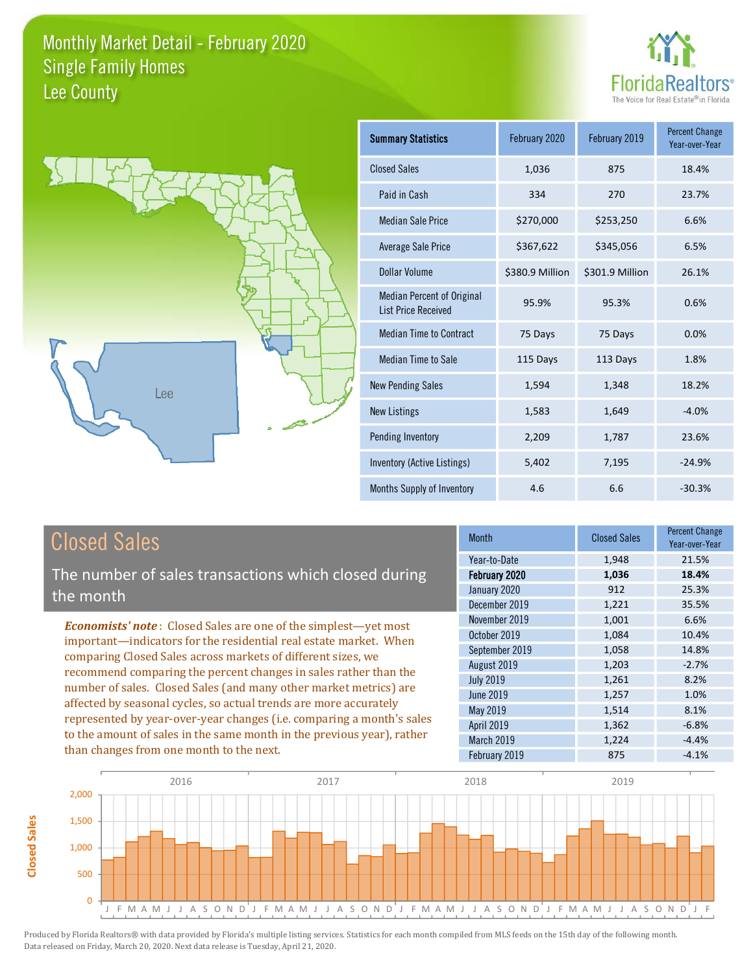



| <b>Summary Statistics</b>                                       | February 2020   | February 2019   | <b>Percent Change</b><br>Year-over-Year |
|-----------------------------------------------------------------|-----------------|-----------------|-----------------------------------------|
| <b>Closed Sales</b>                                             | 1,036           | 875             | 18.4%                                   |
| Paid in Cash                                                    | 334             | 270             | 23.7%                                   |
| <b>Median Sale Price</b>                                        | \$270,000       | \$253,250       | 6.6%                                    |
| <b>Average Sale Price</b>                                       | \$367,622       | \$345,056       | 6.5%                                    |
| Dollar Volume                                                   | \$380.9 Million | \$301.9 Million | 26.1%                                   |
| <b>Median Percent of Original</b><br><b>List Price Received</b> | 95.9%           | 95.3%           | 0.6%                                    |
| <b>Median Time to Contract</b>                                  | 75 Days         | 75 Days         | 0.0%                                    |
| <b>Median Time to Sale</b>                                      | 115 Days        | 113 Days        | 1.8%                                    |
| <b>New Pending Sales</b>                                        | 1,594           | 1,348           | 18.2%                                   |
| <b>New Listings</b>                                             | 1,583           | 1,649           | $-4.0%$                                 |
| Pending Inventory                                               | 2,209           | 1,787           | 23.6%                                   |
| Inventory (Active Listings)                                     | 5,402           | 7,195           | $-24.9%$                                |
| Months Supply of Inventory                                      | 4.6             | 6.6             | $-30.3%$                                |

# **Closed Sales**

**Closed Sales** 

The number of sales transactions which closed during the month

**Economists' note:** Closed Sales are one of the simplest-yet most important-indicators for the residential real estate market. When comparing Closed Sales across markets of different sizes, we recommend comparing the percent changes in sales rather than the number of sales. Closed Sales (and many other market metrics) are affected by seasonal cycles, so actual trends are more accurately represented by year-over-year changes (i.e. comparing a month's sales to the amount of sales in the same month in the previous year), rather than changes from one month to the next.

| Month             | <b>Closed Sales</b> | <b>Percent Change</b><br>Year-over-Year |
|-------------------|---------------------|-----------------------------------------|
| Year-to-Date      | 1,948               | 21.5%                                   |
| February 2020     | 1,036               | 18.4%                                   |
| January 2020      | 912                 | 25.3%                                   |
| December 2019     | 1,221               | 35.5%                                   |
| November 2019     | 1,001               | 6.6%                                    |
| October 2019      | 1,084               | 10.4%                                   |
| September 2019    | 1,058               | 14.8%                                   |
| August 2019       | 1,203               | $-2.7%$                                 |
| <b>July 2019</b>  | 1,261               | 8.2%                                    |
| <b>June 2019</b>  | 1,257               | 1.0%                                    |
| May 2019          | 1,514               | 8.1%                                    |
| <b>April 2019</b> | 1,362               | $-6.8%$                                 |
| March 2019        | 1,224               | $-4.4%$                                 |
| February 2019     | 875                 | $-4.1%$                                 |

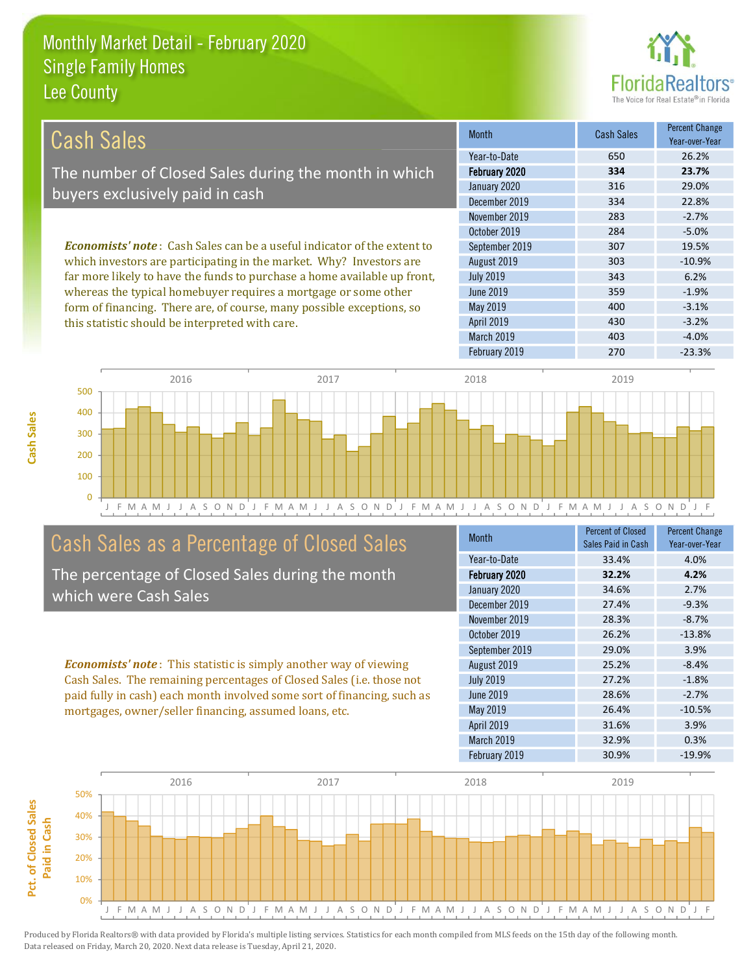this statistic should be interpreted with care.



 $-3.2%$ 

 $-4.0%$ 

 $-23.3%$ 

| Cash Sales                                                                     | <b>Month</b>     | <b>Cash Sales</b> | <b>Percent Change</b><br>Year-over-Year |
|--------------------------------------------------------------------------------|------------------|-------------------|-----------------------------------------|
|                                                                                | Year-to-Date     | 650               | 26.2%                                   |
| The number of Closed Sales during the month in which                           | February 2020    | 334               | 23.7%                                   |
| buyers exclusively paid in cash                                                | January 2020     | 316               | 29.0%                                   |
|                                                                                | December 2019    | 334               | 22.8%                                   |
|                                                                                | November 2019    | 283               | $-2.7%$                                 |
|                                                                                | October 2019     | 284               | $-5.0%$                                 |
| <b>Economists' note:</b> Cash Sales can be a useful indicator of the extent to | September 2019   | 307               | 19.5%                                   |
| which investors are participating in the market. Why? Investors are            | August 2019      | 303               | $-10.9%$                                |
| far more likely to have the funds to purchase a home available up front,       | <b>July 2019</b> | 343               | 6.2%                                    |
| whereas the typical homebuyer requires a mortgage or some other                | June 2019        | 359               | $-1.9%$                                 |
| form of financing. There are of course many possible exceptions so             | May 2019         | 400               | $-3.1\%$                                |

**April 2019** 

March 2019

February 2019



# Cash Sales as a Percentage of Closed Sales

The percentage of Closed Sales during the month which were Cash Sales

**Economists' note:** This statistic is simply another way of viewing Cash Sales. The remaining percentages of Closed Sales (i.e. those not paid fully in cash) each month involved some sort of financing, such as mortgages, owner/seller financing, assumed loans, etc.

| Month            | <b>Percent of Closed</b><br>Sales Paid in Cash | <b>Percent Change</b><br>Year-over-Year |
|------------------|------------------------------------------------|-----------------------------------------|
| Year-to-Date     | 33.4%                                          | 4.0%                                    |
| February 2020    | 32.2%                                          | 4.2%                                    |
| January 2020     | 34.6%                                          | 2.7%                                    |
| December 2019    | 27.4%                                          | $-9.3%$                                 |
| November 2019    | 28.3%                                          | $-8.7%$                                 |
| October 2019     | 26.2%                                          | $-13.8%$                                |
| September 2019   | 29.0%                                          | 3.9%                                    |
| August 2019      | 25.2%                                          | $-8.4%$                                 |
| <b>July 2019</b> | 27.2%                                          | $-1.8%$                                 |
| June 2019        | 28.6%                                          | $-2.7%$                                 |
| May 2019         | 26.4%                                          | $-10.5%$                                |
| April 2019       | 31.6%                                          | 3.9%                                    |
| March 2019       | 32.9%                                          | 0.3%                                    |
| February 2019    | 30.9%                                          | $-19.9%$                                |

430

403

270



Pct. of Closed Sales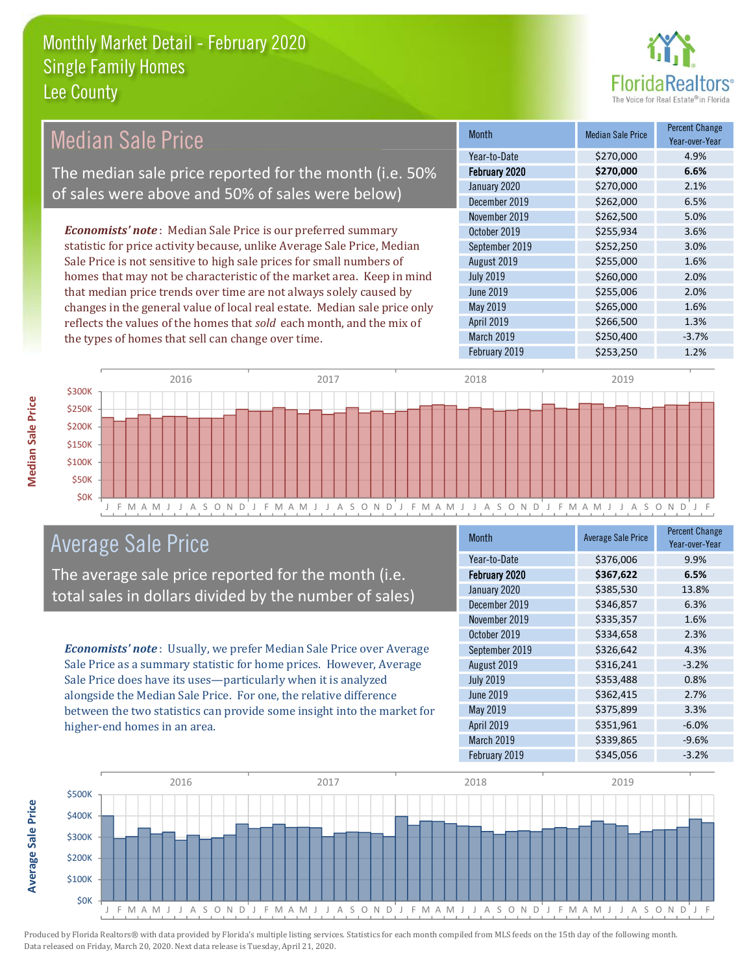

#### **Percent Change Median Sale Price Median Sale Price** Month Year-over-Year Year-to-Date \$270,000 4.9% The median sale price reported for the month (i.e. 50% February 2020 \$270,000 6.6%  $21%$ January 2020 \$270,000 of sales were above and 50% of sales were below) December 2019 \$262,000 6.5% November 2019 \$262,500 5.0% **Economists' note**: Median Sale Price is our preferred summary October 2019 \$255,934 3.6% statistic for price activity because, unlike Average Sale Price, Median September 2019 \$252,250 3.0% Sale Price is not sensitive to high sale prices for small numbers of August 2019 \$255,000 1.6% homes that may not be characteristic of the market area. Keep in mind **July 2019** \$260,000 2.0% that median price trends over time are not always solely caused by **June 2019** \$255,006 2.0% 1.6% changes in the general value of local real estate. Median sale price only May 2019 \$265,000 reflects the values of the homes that sold each month, and the mix of **April 2019** \$266,500 1.3% March 2019 \$250,400  $-3.7%$ the types of homes that sell can change over time. February 2019 \$253,250 1.2%



# **Average Sale Price**

The average sale price reported for the month (i.e. total sales in dollars divided by the number of sales)

Economists' note: Usually, we prefer Median Sale Price over Average Sale Price as a summary statistic for home prices. However, Average Sale Price does have its uses-particularly when it is analyzed alongside the Median Sale Price. For one, the relative difference between the two statistics can provide some insight into the market for higher-end homes in an area.

| <b>Month</b>     | <b>Average Sale Price</b> | <b>Percent Change</b><br>Year-over-Year |
|------------------|---------------------------|-----------------------------------------|
| Year-to-Date     | \$376,006                 | 9.9%                                    |
| February 2020    | \$367,622                 | 6.5%                                    |
| January 2020     | \$385,530                 | 13.8%                                   |
| December 2019    | \$346,857                 | 6.3%                                    |
| November 2019    | \$335,357                 | 1.6%                                    |
| October 2019     | \$334,658                 | 2.3%                                    |
| September 2019   | \$326,642                 | 4.3%                                    |
| August 2019      | \$316,241                 | $-3.2%$                                 |
| <b>July 2019</b> | \$353,488                 | 0.8%                                    |
| <b>June 2019</b> | \$362,415                 | 2.7%                                    |
| May 2019         | \$375,899                 | 3.3%                                    |
| April 2019       | \$351,961                 | $-6.0%$                                 |
| March 2019       | \$339,865                 | $-9.6%$                                 |
| February 2019    | \$345,056                 | $-3.2%$                                 |



Produced by Florida Realtors® with data provided by Florida's multiple listing services. Statistics for each month compiled from MLS feeds on the 15th day of the following month. Data released on Friday, March 20, 2020. Next data release is Tuesday, April 21, 2020.

**Average Sale Price**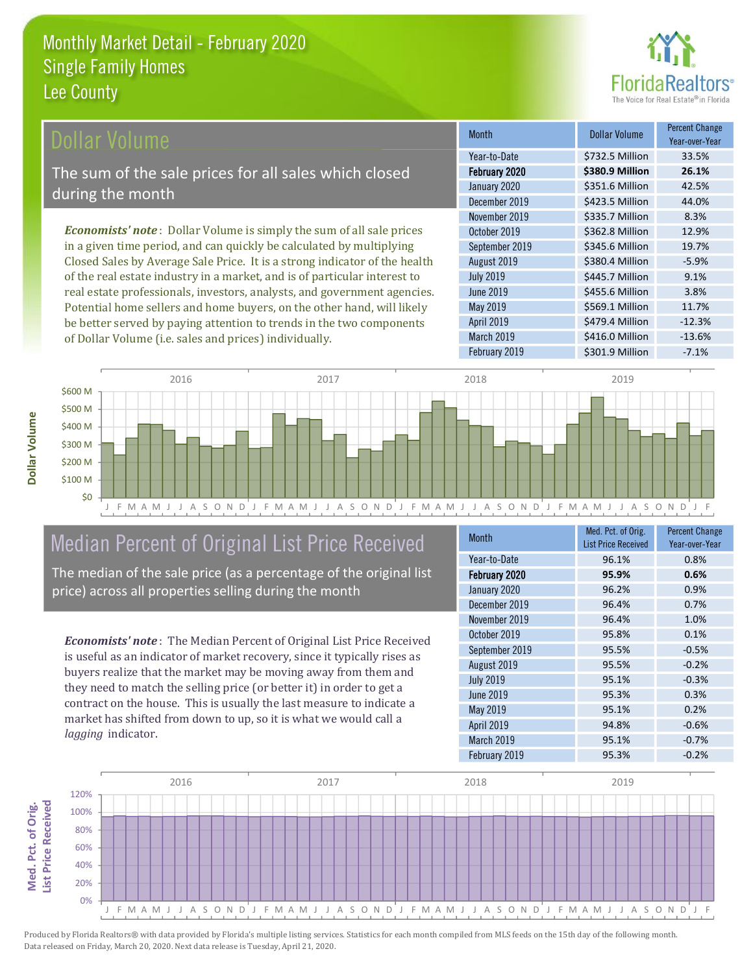

**Dollar Volume** 

\$732.5 Million

\$380.9 Million

\$351.6 Million

\$423.5 Million

\$335.7 Million

\$362.8 Million

\$345.6 Million

\$380.4 Million

\$445.7 Million

\$455.6 Million

\$569.1 Million

\$479.4 Million

\$416.0 Million

\$301.9 Million

**Percent Change** 

Year-over-Year

33.5%

26.1% 42 5%

44.0% 8.3%

12.9%

19.7%

 $-5.9%$ 

9.1%

3.8%

11.7%

 $-12.3%$ 

 $-13.6%$ 

 $-7.1%$ 

## **Ollar Volume**

The sum of the sale prices for all sales which closed during the month

**Economists' note**: Dollar Volume is simply the sum of all sale prices in a given time period, and can quickly be calculated by multiplying Closed Sales by Average Sale Price. It is a strong indicator of the health of the real estate industry in a market, and is of particular interest to real estate professionals, investors, analysts, and government agencies. Potential home sellers and home buyers, on the other hand, will likely be better served by paying attention to trends in the two components of Dollar Volume (i.e. sales and prices) individually.



Month

Year-to-Date

February 2020

December 2019

November 2019

September 2019

October 2019

August 2019

**July 2019** 

**June 2019** 

May 2019

**April 2019** 

March 2019

February 2019

January 2020

# Median Percent of Original List Price Received

The median of the sale price (as a percentage of the original list price) across all properties selling during the month

**Economists' note:** The Median Percent of Original List Price Received is useful as an indicator of market recovery, since it typically rises as buyers realize that the market may be moving away from them and they need to match the selling price (or better it) in order to get a contract on the house. This is usually the last measure to indicate a market has shifted from down to up, so it is what we would call a lagging indicator.

| <b>Month</b>      | Med. Pct. of Orig.<br><b>List Price Received</b> | <b>Percent Change</b><br>Year-over-Year |
|-------------------|--------------------------------------------------|-----------------------------------------|
| Year-to-Date      | 96.1%                                            | 0.8%                                    |
| February 2020     | 95.9%                                            | 0.6%                                    |
| January 2020      | 96.2%                                            | 0.9%                                    |
| December 2019     | 96.4%                                            | 0.7%                                    |
| November 2019     | 96.4%                                            | 1.0%                                    |
| October 2019      | 95.8%                                            | 0.1%                                    |
| September 2019    | 95.5%                                            | $-0.5%$                                 |
| August 2019       | 95.5%                                            | $-0.2%$                                 |
| <b>July 2019</b>  | 95.1%                                            | $-0.3%$                                 |
| June 2019         | 95.3%                                            | 0.3%                                    |
| <b>May 2019</b>   | 95.1%                                            | 0.2%                                    |
| <b>April 2019</b> | 94.8%                                            | $-0.6%$                                 |
| March 2019        | 95.1%                                            | $-0.7%$                                 |
| February 2019     | 95.3%                                            | $-0.2%$                                 |

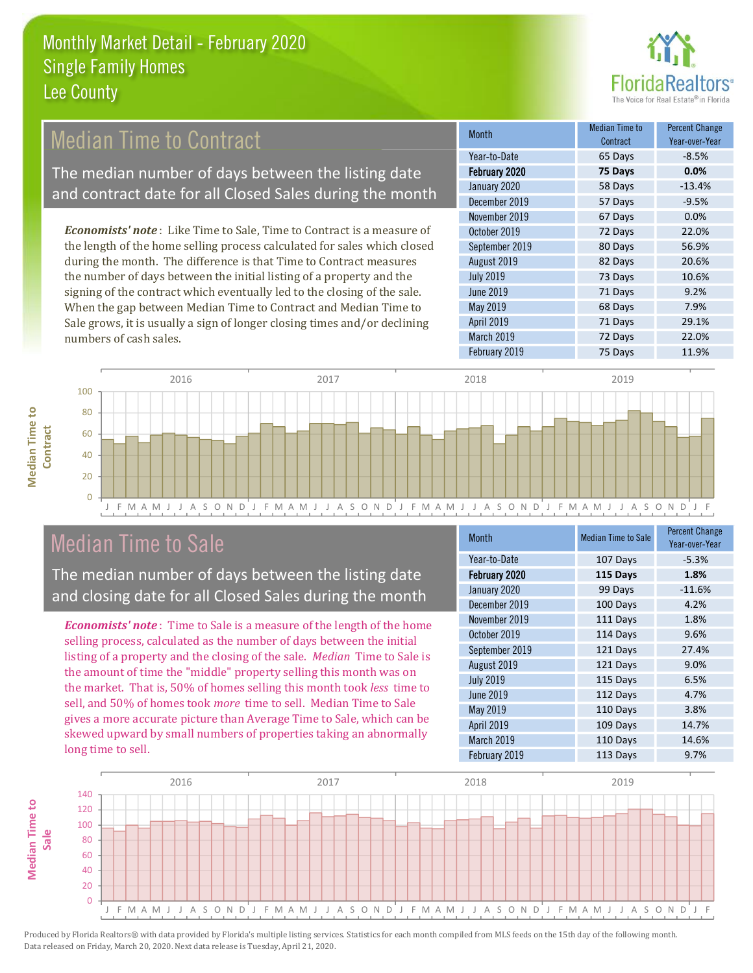

# **Median Time to Contract**

The median number of days between the listing date and contract date for all Closed Sales during the month

**Economists' note**: Like Time to Sale, Time to Contract is a measure of the length of the home selling process calculated for sales which closed during the month. The difference is that Time to Contract measures the number of days between the initial listing of a property and the signing of the contract which eventually led to the closing of the sale. When the gap between Median Time to Contract and Median Time to Sale grows, it is usually a sign of longer closing times and/or declining numbers of cash sales.

| Month            | Median Time to<br>Contract | <b>Percent Change</b><br>Year-over-Year |
|------------------|----------------------------|-----------------------------------------|
| Year-to-Date     | 65 Days                    | $-8.5%$                                 |
| February 2020    | 75 Days                    | 0.0%                                    |
| January 2020     | 58 Days                    | $-13.4%$                                |
| December 2019    | 57 Days                    | $-9.5%$                                 |
| November 2019    | 67 Days                    | 0.0%                                    |
| October 2019     | 72 Days                    | 22.0%                                   |
| September 2019   | 80 Days                    | 56.9%                                   |
| August 2019      | 82 Days                    | 20.6%                                   |
| <b>July 2019</b> | 73 Days                    | 10.6%                                   |
| <b>June 2019</b> | 71 Days                    | 9.2%                                    |
| May 2019         | 68 Days                    | 7.9%                                    |
| April 2019       | 71 Days                    | 29.1%                                   |
| March 2019       | 72 Days                    | 22.0%                                   |
| February 2019    | 75 Days                    | 11.9%                                   |



# **Median Time to Sale**

The median number of days between the listing date and closing date for all Closed Sales during the month

**Economists' note**: Time to Sale is a measure of the length of the home selling process, calculated as the number of days between the initial listing of a property and the closing of the sale. Median Time to Sale is the amount of time the "middle" property selling this month was on the market. That is, 50% of homes selling this month took less time to sell, and 50% of homes took *more* time to sell. Median Time to Sale gives a more accurate picture than Average Time to Sale, which can be skewed upward by small numbers of properties taking an abnormally long time to sell.

| <b>Month</b>     | <b>Median Time to Sale</b> | <b>Percent Change</b><br>Year-over-Year |
|------------------|----------------------------|-----------------------------------------|
| Year-to-Date     | 107 Days                   | $-5.3%$                                 |
| February 2020    | 115 Days                   | 1.8%                                    |
| January 2020     | 99 Days                    | $-11.6%$                                |
| December 2019    | 100 Days                   | 4.2%                                    |
| November 2019    | 111 Days                   | 1.8%                                    |
| October 2019     | 114 Days                   | 9.6%                                    |
| September 2019   | 121 Days                   | 27.4%                                   |
| August 2019      | 121 Days                   | 9.0%                                    |
| <b>July 2019</b> | 115 Days                   | 6.5%                                    |
| June 2019        | 112 Days                   | 4.7%                                    |
| May 2019         | 110 Days                   | 3.8%                                    |
| April 2019       | 109 Days                   | 14.7%                                   |
| March 2019       | 110 Days                   | 14.6%                                   |
| February 2019    | 113 Days                   | 9.7%                                    |

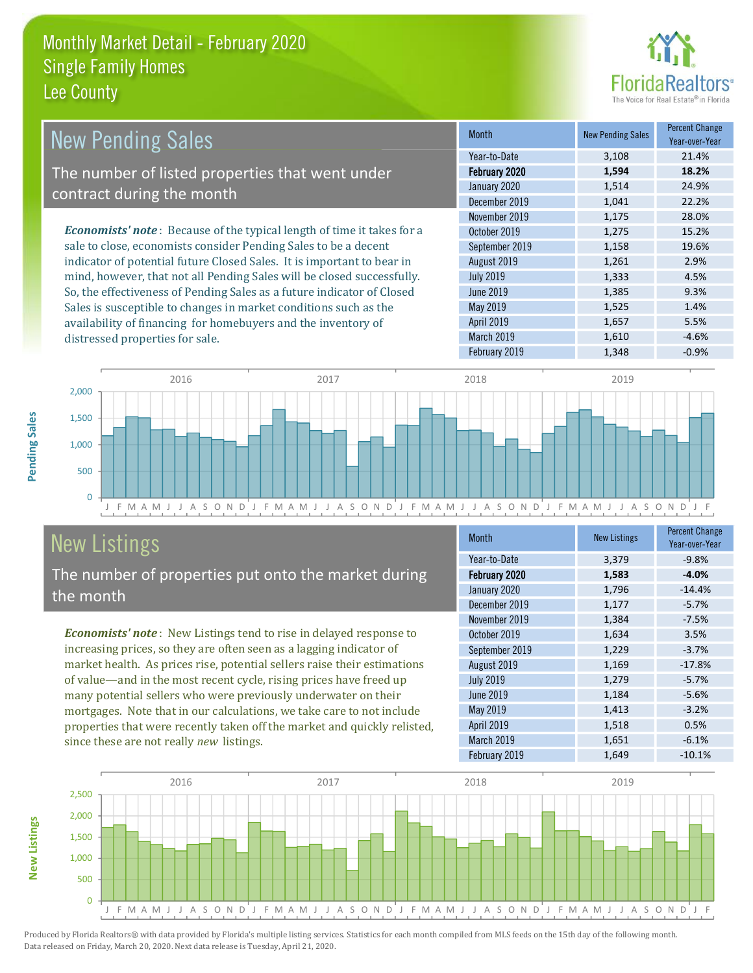

5.5%

 $-4.6%$ 

 $-0.9%$ 

| New Pending Sales                                                              | <b>Month</b>     | <b>New Pending Sales</b> | <b>Percent Change</b><br>Year-over-Year |
|--------------------------------------------------------------------------------|------------------|--------------------------|-----------------------------------------|
|                                                                                | Year-to-Date     | 3,108                    | 21.4%                                   |
| The number of listed properties that went under                                | February 2020    | 1,594                    | 18.2%                                   |
| contract during the month                                                      | January 2020     | 1,514                    | 24.9%                                   |
|                                                                                | December 2019    | 1,041                    | 22.2%                                   |
|                                                                                | November 2019    | 1,175                    | 28.0%                                   |
| <b>Economists' note</b> : Because of the typical length of time it takes for a | October 2019     | 1,275                    | 15.2%                                   |
| sale to close, economists consider Pending Sales to be a decent                | September 2019   | 1,158                    | 19.6%                                   |
| indicator of potential future Closed Sales. It is important to bear in         | August 2019      | 1,261                    | 2.9%                                    |
| mind, however, that not all Pending Sales will be closed successfully.         | <b>July 2019</b> | 1,333                    | 4.5%                                    |
| So, the effectiveness of Pending Sales as a future indicator of Closed         | June 2019        | 1,385                    | 9.3%                                    |
| Sales is susceptible to changes in market conditions such as the               | May 2019         | 1,525                    | 1.4%                                    |

**April 2019** 

March 2019

February 2019



# **New Listings**

distressed properties for sale.

The number of properties put onto the market during the month

availability of financing for homebuyers and the inventory of

Economists' note: New Listings tend to rise in delayed response to increasing prices, so they are often seen as a lagging indicator of market health. As prices rise, potential sellers raise their estimations of value—and in the most recent cycle, rising prices have freed up many potential sellers who were previously underwater on their mortgages. Note that in our calculations, we take care to not include properties that were recently taken off the market and quickly relisted, since these are not really new listings.

| <b>Month</b>     | <b>New Listings</b> | <b>Percent Change</b><br>Year-over-Year |
|------------------|---------------------|-----------------------------------------|
| Year-to-Date     | 3,379               | $-9.8%$                                 |
| February 2020    | 1,583               | $-4.0%$                                 |
| January 2020     | 1,796               | $-14.4%$                                |
| December 2019    | 1,177               | $-5.7%$                                 |
| November 2019    | 1,384               | $-7.5%$                                 |
| October 2019     | 1,634               | 3.5%                                    |
| September 2019   | 1,229               | $-3.7%$                                 |
| August 2019      | 1,169               | $-17.8%$                                |
| <b>July 2019</b> | 1,279               | $-5.7%$                                 |
| <b>June 2019</b> | 1,184               | $-5.6%$                                 |
| May 2019         | 1,413               | $-3.2%$                                 |
| April 2019       | 1,518               | 0.5%                                    |
| March 2019       | 1,651               | $-6.1%$                                 |
| February 2019    | 1,649               | $-10.1%$                                |

1.657

1,610

1,348



Pending Sales

**New Listings**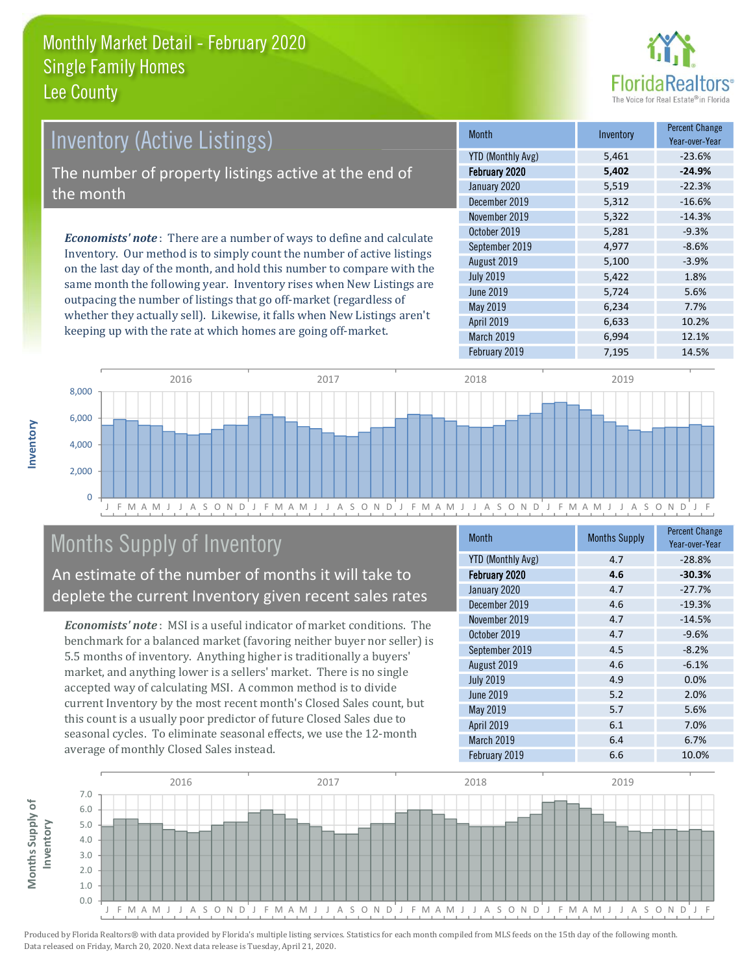

# **Inventory (Active Listings)** The number of property listings active at the end of

the month

**Economists' note:** There are a number of ways to define and calculate Inventory. Our method is to simply count the number of active listings on the last day of the month, and hold this number to compare with the same month the following year. Inventory rises when New Listings are outpacing the number of listings that go off-market (regardless of whether they actually sell). Likewise, it falls when New Listings aren't keeping up with the rate at which homes are going off-market.

| <b>Month</b>             | Inventory | <b>Percent Change</b><br>Year-over-Year |
|--------------------------|-----------|-----------------------------------------|
| <b>YTD (Monthly Avg)</b> | 5,461     | $-23.6%$                                |
| February 2020            | 5,402     | $-24.9%$                                |
| January 2020             | 5,519     | $-22.3%$                                |
| December 2019            | 5,312     | $-16.6%$                                |
| November 2019            | 5,322     | $-14.3%$                                |
| October 2019             | 5,281     | $-9.3%$                                 |
| September 2019           | 4,977     | $-8.6%$                                 |
| August 2019              | 5,100     | $-3.9%$                                 |
| <b>July 2019</b>         | 5,422     | 1.8%                                    |
| <b>June 2019</b>         | 5,724     | 5.6%                                    |
| May 2019                 | 6,234     | 7.7%                                    |
| April 2019               | 6,633     | 10.2%                                   |
| March 2019               | 6,994     | 12.1%                                   |
| February 2019            | 7,195     | 14.5%                                   |



# **Months Supply of Inventory**

An estimate of the number of months it will take to deplete the current Inventory given recent sales rates

**Economists' note:** MSI is a useful indicator of market conditions. The benchmark for a balanced market (favoring neither buyer nor seller) is 5.5 months of inventory. Anything higher is traditionally a buyers' market, and anything lower is a sellers' market. There is no single accepted way of calculating MSI. A common method is to divide current Inventory by the most recent month's Closed Sales count, but this count is a usually poor predictor of future Closed Sales due to seasonal cycles. To eliminate seasonal effects, we use the 12-month average of monthly Closed Sales instead.

| <b>Month</b>             | <b>Months Supply</b> | <b>Percent Change</b><br>Year-over-Year |
|--------------------------|----------------------|-----------------------------------------|
| <b>YTD (Monthly Avg)</b> | 4.7                  | $-28.8%$                                |
| February 2020            | 4.6                  | $-30.3%$                                |
| January 2020             | 4.7                  | $-27.7%$                                |
| December 2019            | 4.6                  | $-19.3%$                                |
| November 2019            | 4.7                  | $-14.5%$                                |
| October 2019             | 4.7                  | $-9.6%$                                 |
| September 2019           | 4.5                  | $-8.2%$                                 |
| August 2019              | 4.6                  | $-6.1%$                                 |
| <b>July 2019</b>         | 4.9                  | 0.0%                                    |
| <b>June 2019</b>         | 5.2                  | 2.0%                                    |
| May 2019                 | 5.7                  | 5.6%                                    |
| April 2019               | 6.1                  | 7.0%                                    |
| March 2019               | 6.4                  | 6.7%                                    |
| February 2019            | 6.6                  | 10.0%                                   |

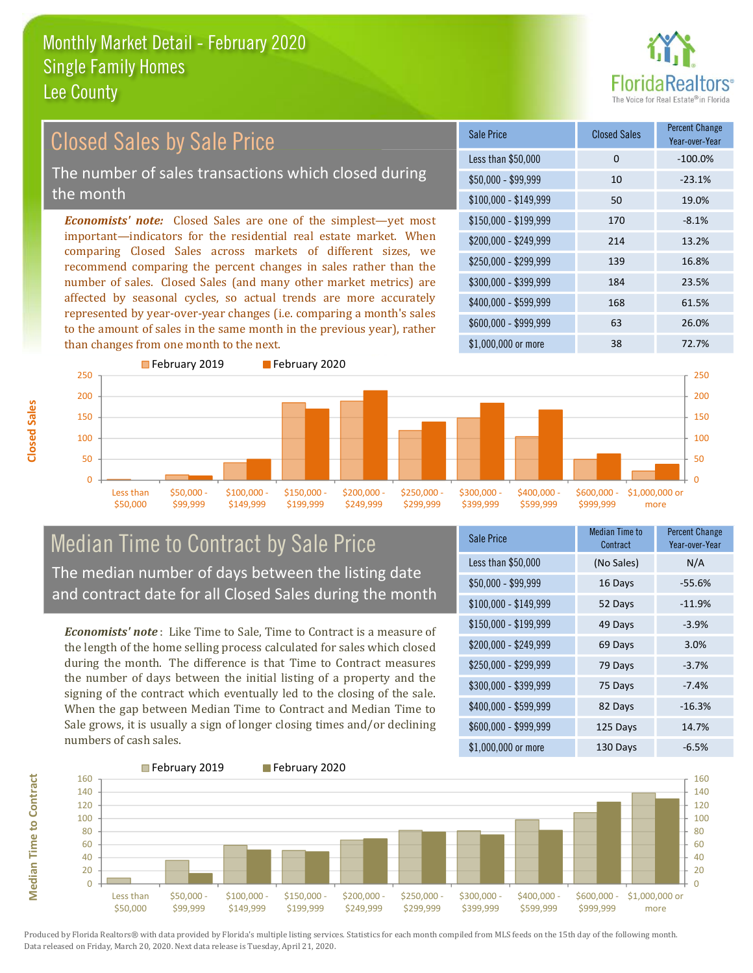

#### **Percent Change Closed Sales by Sale Price Closed Sales Sale Price** Year-over-Year Less than \$50,000  $\mathbf 0$  $-100.0%$ The number of sales transactions which closed during  $$50.000 - $99.999$  $10$  $-23.1%$ the month 19.0%  $$100,000 - $149,999$ 50 **Economists' note:** Closed Sales are one of the simplest—yet most \$150,000 - \$199.999 170  $-8.1%$ important-indicators for the residential real estate market. When \$200.000 - \$249.999 214 13.2% comparing Closed Sales across markets of different sizes, we \$250,000 - \$299.999 139 16.8% recommend comparing the percent changes in sales rather than the number of sales. Closed Sales (and many other market metrics) are \$300,000 - \$399,999 184 23.5% affected by seasonal cycles, so actual trends are more accurately \$400,000 - \$599,999 168 61.5% represented by year-over-year changes (i.e. comparing a month's sales \$600.000 - \$999.999 63 26.0% to the amount of sales in the same month in the previous year), rather than changes from one month to the next. \$1,000,000 or more 38 72.7% February 2019 February 2020



### Median Time to Contract by Sale Price The median number of days between the listing date and contract date for all Closed Sales during the month

**Economists' note**: Like Time to Sale. Time to Contract is a measure of the length of the home selling process calculated for sales which closed during the month. The difference is that Time to Contract measures the number of days between the initial listing of a property and the signing of the contract which eventually led to the closing of the sale. When the gap between Median Time to Contract and Median Time to Sale grows, it is usually a sign of longer closing times and/or declining numbers of cash sales.

| <b>Sale Price</b>     | Median Time to<br>Contract | Percent Change<br>Year-over-Year |
|-----------------------|----------------------------|----------------------------------|
| Less than \$50,000    | (No Sales)                 | N/A                              |
| $$50,000 - $99,999$   | 16 Days                    | $-55.6%$                         |
| $$100,000 - $149,999$ | 52 Days                    | $-11.9%$                         |
| $$150,000 - $199,999$ | 49 Days                    | $-3.9%$                          |
| \$200,000 - \$249,999 | 69 Days                    | 3.0%                             |
| \$250,000 - \$299,999 | 79 Days                    | $-3.7%$                          |
| \$300,000 - \$399,999 | 75 Days                    | $-7.4%$                          |
| \$400,000 - \$599,999 | 82 Days                    | $-16.3%$                         |
| \$600,000 - \$999,999 | 125 Days                   | 14.7%                            |
| \$1,000,000 or more   | 130 Davs                   | -6.5%                            |



**Closed Sales** 

**Median Time to Contract**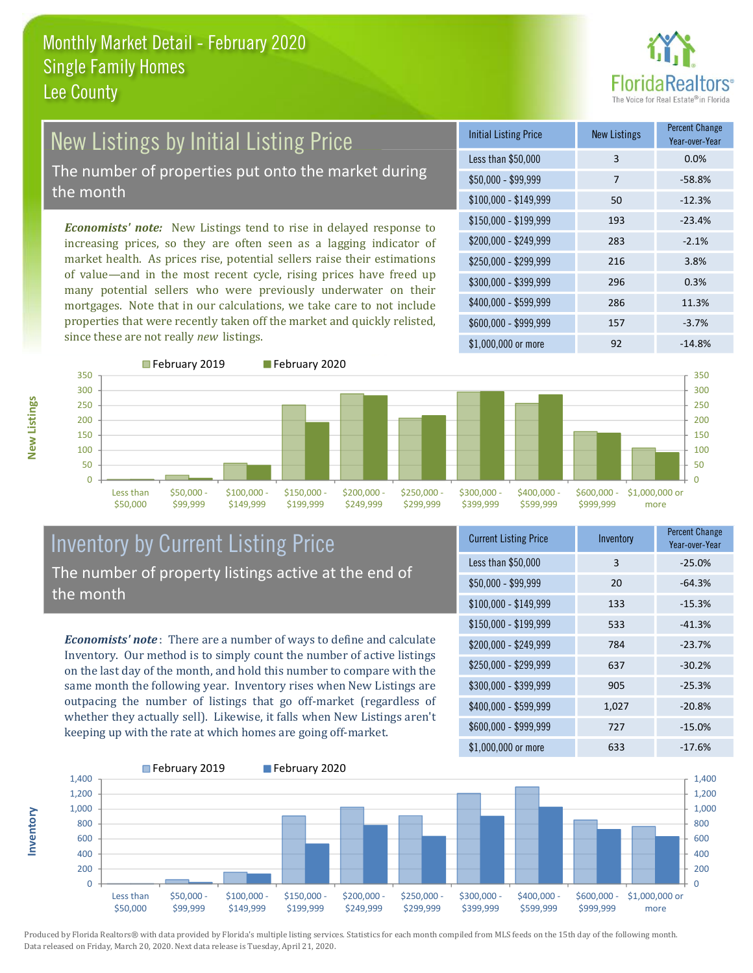

350

300

250

 $200$ 

150

 $100$ 

50

 $\Omega$ 

# **New Listings by Initial Listing Price** The number of properties put onto the market during

the month

 $\Omega$ 

Economists' note: New Listings tend to rise in delayed response to increasing prices, so they are often seen as a lagging indicator of market health. As prices rise, potential sellers raise their estimations of value—and in the most recent cycle, rising prices have freed up many potential sellers who were previously underwater on their mortgages. Note that in our calculations, we take care to not include properties that were recently taken off the market and quickly relisted, since these are not really new listings.

| <b>Initial Listing Price</b> | <b>New Listings</b> | <b>Percent Change</b><br>Year-over-Year |
|------------------------------|---------------------|-----------------------------------------|
| Less than \$50,000           | 3                   | 0.0%                                    |
| $$50,000 - $99,999$          | 7                   | $-58.8%$                                |
| $$100,000 - $149,999$        | 50                  | $-12.3%$                                |
| $$150,000 - $199,999$        | 193                 | $-23.4%$                                |
| \$200,000 - \$249,999        | 283                 | $-2.1%$                                 |
| \$250,000 - \$299,999        | 216                 | 3.8%                                    |
| \$300,000 - \$399,999        | 296                 | 0.3%                                    |
| \$400,000 - \$599,999        | 286                 | 11.3%                                   |
| \$600,000 - \$999,999        | 157                 | $-3.7%$                                 |
| $$1.000.000$ or more         | 92                  | $-14.8%$                                |



Less than

\$50,000

\$50,000

\$99.999



\$399,999

\$400,000 -\$600,000 -\$1,000,000 or \$599,999 \$999.999 more

#### **Inventory by Current Listing Price** The number of property listings active at the end of the month

\$100,000

\$149.999

 $$150,000$ 

\$199,999

\$249.999

\$299.999

**Economists' note**: There are a number of ways to define and calculate Inventory. Our method is to simply count the number of active listings on the last day of the month, and hold this number to compare with the same month the following year. Inventory rises when New Listings are outpacing the number of listings that go off-market (regardless of whether they actually sell). Likewise, it falls when New Listings aren't keeping up with the rate at which homes are going off-market.

| <b>Current Listing Price</b> | Inventory | Percent Change<br>Year-over-Year |
|------------------------------|-----------|----------------------------------|
| Less than \$50,000           | 3         | $-25.0%$                         |
| $$50,000 - $99,999$          | 20        | $-64.3%$                         |
| $$100,000 - $149,999$        | 133       | $-15.3%$                         |
| \$150,000 - \$199,999        | 533       | $-41.3%$                         |
| \$200,000 - \$249,999        | 784       | $-23.7%$                         |
| \$250,000 - \$299,999        | 637       | $-30.2%$                         |
| \$300,000 - \$399,999        | 905       | $-25.3%$                         |
| \$400,000 - \$599,999        | 1,027     | $-20.8%$                         |
| \$600,000 - \$999,999        | 727       | $-15.0%$                         |
| $$1.000.000$ or more         | coo       | 17. $CO/$                        |



Produced by Florida Realtors® with data provided by Florida's multiple listing services. Statistics for each month compiled from MLS feeds on the 15th day of the following month. Data released on Friday, March 20, 2020. Next data release is Tuesday, April 21, 2020.

nventory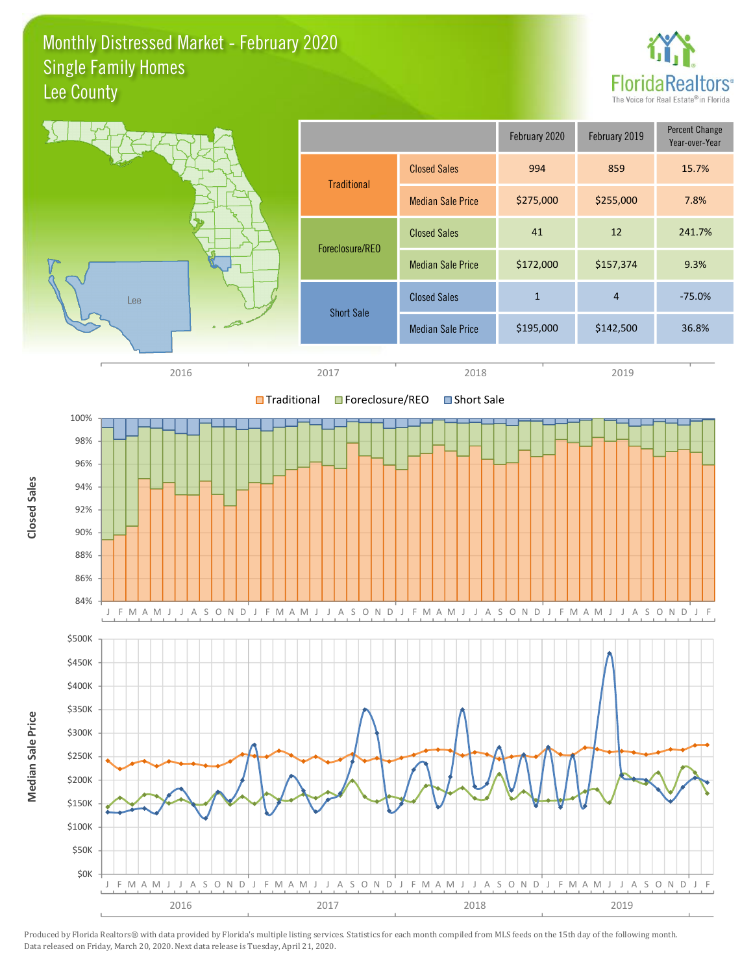#### Monthly Distressed Market - February 2020 **Single Family Homes** Lee County



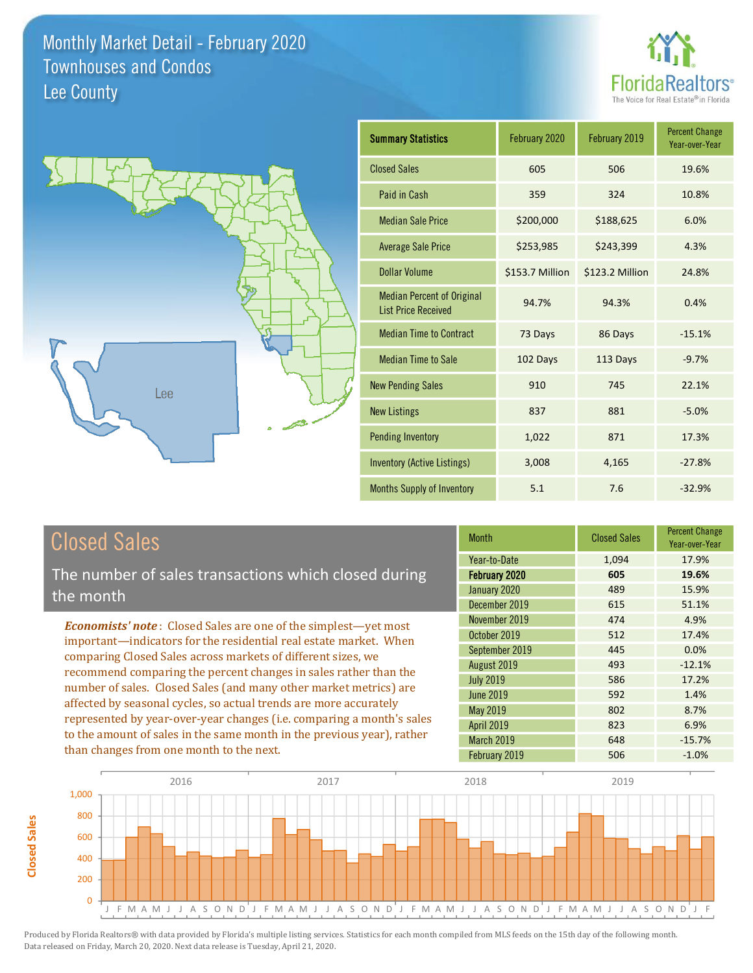



| <b>Summary Statistics</b>                                       | February 2020   | February 2019   | <b>Percent Change</b><br>Year-over-Year |
|-----------------------------------------------------------------|-----------------|-----------------|-----------------------------------------|
| <b>Closed Sales</b>                                             | 605             | 506             | 19.6%                                   |
| Paid in Cash                                                    | 359             | 324             | 10.8%                                   |
| <b>Median Sale Price</b>                                        | \$200,000       | \$188,625       | 6.0%                                    |
| <b>Average Sale Price</b>                                       | \$253,985       | \$243,399       | 4.3%                                    |
| <b>Dollar Volume</b>                                            | \$153.7 Million | \$123.2 Million | 24.8%                                   |
| <b>Median Percent of Original</b><br><b>List Price Received</b> | 94.7%           | 94.3%           | 0.4%                                    |
| <b>Median Time to Contract</b>                                  | 73 Days         | 86 Days         | $-15.1%$                                |
| <b>Median Time to Sale</b>                                      | 102 Days        | 113 Days        | $-9.7%$                                 |
| <b>New Pending Sales</b>                                        | 910             | 745             | 22.1%                                   |
| <b>New Listings</b>                                             | 837             | 881             | $-5.0%$                                 |
| <b>Pending Inventory</b>                                        | 1,022           | 871             | 17.3%                                   |
| <b>Inventory (Active Listings)</b>                              | 3,008           | 4,165           | $-27.8%$                                |
| <b>Months Supply of Inventory</b>                               | 5.1             | 7.6             | $-32.9%$                                |

# **Closed Sales**

**Closed Sales** 

The number of sales transactions which closed during the month

**Economists' note:** Closed Sales are one of the simplest-yet most important-indicators for the residential real estate market. When comparing Closed Sales across markets of different sizes, we recommend comparing the percent changes in sales rather than the number of sales. Closed Sales (and many other market metrics) are affected by seasonal cycles, so actual trends are more accurately represented by year-over-year changes (i.e. comparing a month's sales to the amount of sales in the same month in the previous year), rather than changes from one month to the next.

| <b>Month</b>      | <b>Closed Sales</b> | <b>Percent Change</b><br>Year-over-Year |
|-------------------|---------------------|-----------------------------------------|
| Year-to-Date      | 1,094               | 17.9%                                   |
| February 2020     | 605                 | 19.6%                                   |
| January 2020      | 489                 | 15.9%                                   |
| December 2019     | 615                 | 51.1%                                   |
| November 2019     | 474                 | 4.9%                                    |
| October 2019      | 512                 | 17.4%                                   |
| September 2019    | 445                 | 0.0%                                    |
| August 2019       | 493                 | $-12.1%$                                |
| <b>July 2019</b>  | 586                 | 17.2%                                   |
| <b>June 2019</b>  | 592                 | 1.4%                                    |
| May 2019          | 802                 | 8.7%                                    |
| <b>April 2019</b> | 823                 | 6.9%                                    |
| March 2019        | 648                 | $-15.7%$                                |
| February 2019     | 506                 | $-1.0%$                                 |

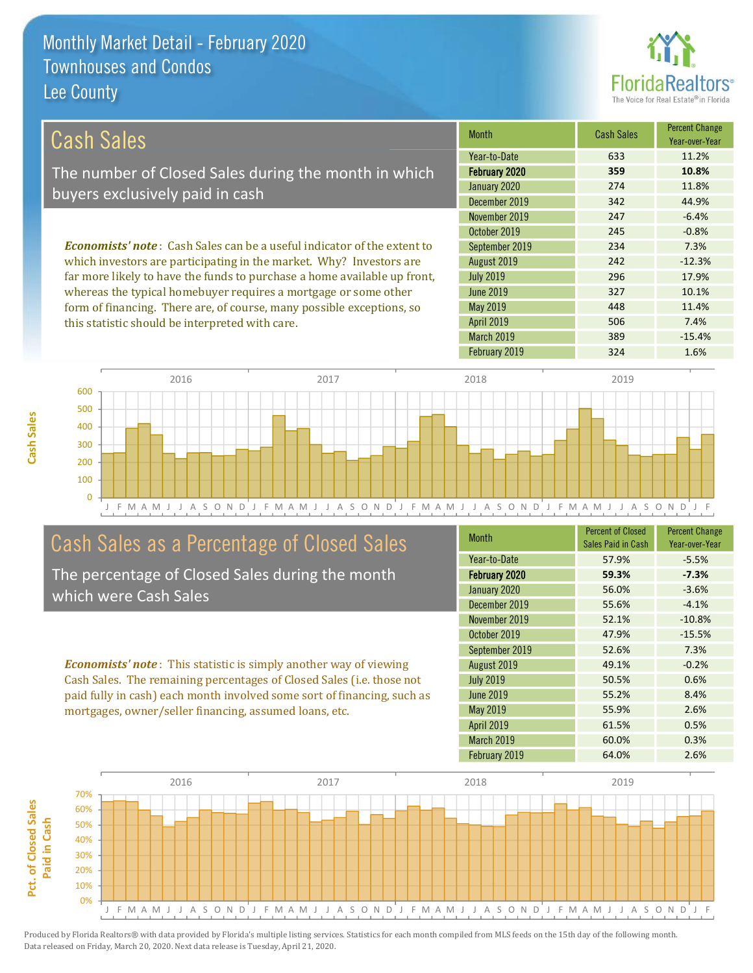this statistic should be interpreted with care.



7.4%

 $-15.4%$ 

| Cash Sales                                                                     | <b>Month</b>     | <b>Cash Sales</b> | <b>Percent Change</b><br>Year-over-Year |
|--------------------------------------------------------------------------------|------------------|-------------------|-----------------------------------------|
|                                                                                | Year-to-Date     | 633               | 11.2%                                   |
| The number of Closed Sales during the month in which                           | February 2020    | 359               | 10.8%                                   |
| buyers exclusively paid in cash                                                | January 2020     | 274               | 11.8%                                   |
|                                                                                | December 2019    | 342               | 44.9%                                   |
|                                                                                | November 2019    | 247               | $-6.4%$                                 |
|                                                                                | October 2019     | 245               | $-0.8%$                                 |
| <b>Economists' note:</b> Cash Sales can be a useful indicator of the extent to | September 2019   | 234               | 7.3%                                    |
| which investors are participating in the market. Why? Investors are            | August 2019      | 242               | $-12.3%$                                |
| far more likely to have the funds to purchase a home available up front,       | <b>July 2019</b> | 296               | 17.9%                                   |
| whereas the typical homebuyer requires a mortgage or some other                | <b>June 2019</b> | 327               | 10.1%                                   |
| form of financing. There are, of course, many possible exceptions, so          | May 2019         | 448               | 11.4%                                   |

April 2019

March 2019



# Cash Sales as a Percentage of Closed Sales

The percentage of Closed Sales during the month which were Cash Sales

**Economists' note:** This statistic is simply another way of viewing Cash Sales. The remaining percentages of Closed Sales (i.e. those not paid fully in cash) each month involved some sort of financing, such as mortgages, owner/seller financing, assumed loans, etc.

| <b>Month</b>      | <b>Percent of Closed</b><br>Sales Paid in Cash | <b>Percent Change</b><br>Year-over-Year |
|-------------------|------------------------------------------------|-----------------------------------------|
| Year-to-Date      | 57.9%                                          | $-5.5%$                                 |
| February 2020     | 59.3%                                          | $-7.3%$                                 |
| January 2020      | 56.0%                                          | $-3.6%$                                 |
| December 2019     | 55.6%                                          | $-4.1%$                                 |
| November 2019     | 52.1%                                          | $-10.8%$                                |
| October 2019      | 47.9%                                          | $-15.5%$                                |
| September 2019    | 52.6%                                          | 7.3%                                    |
| August 2019       | 49.1%                                          | $-0.2%$                                 |
| <b>July 2019</b>  | 50.5%                                          | 0.6%                                    |
| <b>June 2019</b>  | 55.2%                                          | 8.4%                                    |
| May 2019          | 55.9%                                          | 2.6%                                    |
| April 2019        | 61.5%                                          | 0.5%                                    |
| <b>March 2019</b> | 60.0%                                          | 0.3%                                    |
| February 2019     | 64.0%                                          | 2.6%                                    |

506

389

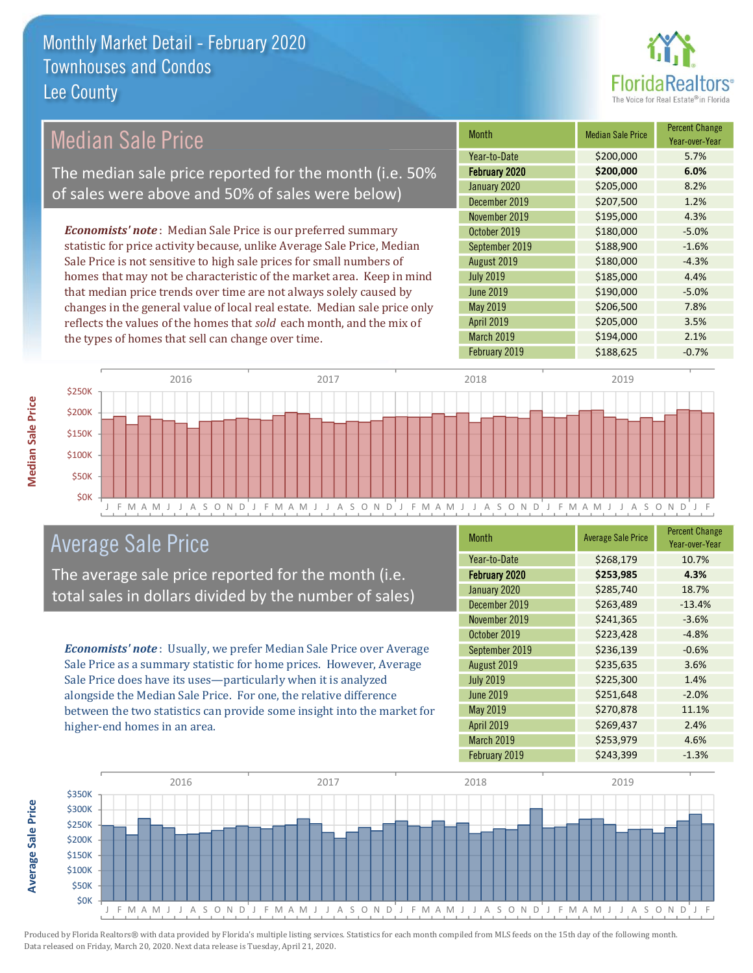

# **Median Sale Price**

The median sale price reported for the month (i.e. 50% of sales were above and 50% of sales were below)

**Economists' note**: Median Sale Price is our preferred summary statistic for price activity because, unlike Average Sale Price, Median Sale Price is not sensitive to high sale prices for small numbers of homes that may not be characteristic of the market area. Keep in mind that median price trends over time are not always solely caused by changes in the general value of local real estate. Median sale price only reflects the values of the homes that sold each month, and the mix of the types of homes that sell can change over time.

| <b>Month</b>     | <b>Median Sale Price</b> | <b>Percent Change</b><br>Year-over-Year |
|------------------|--------------------------|-----------------------------------------|
| Year-to-Date     | \$200,000                | 5.7%                                    |
| February 2020    | \$200,000                | 6.0%                                    |
| January 2020     | \$205,000                | 8.2%                                    |
| December 2019    | \$207,500                | 1.2%                                    |
| November 2019    | \$195,000                | 4.3%                                    |
| October 2019     | \$180,000                | $-5.0%$                                 |
| September 2019   | \$188,900                | $-1.6%$                                 |
| August 2019      | \$180,000                | $-4.3%$                                 |
| <b>July 2019</b> | \$185,000                | 4.4%                                    |
| <b>June 2019</b> | \$190,000                | $-5.0%$                                 |
| <b>May 2019</b>  | \$206,500                | 7.8%                                    |
| April 2019       | \$205,000                | 3.5%                                    |
| March 2019       | \$194,000                | 2.1%                                    |
| February 2019    | \$188,625                | $-0.7%$                                 |



## **Average Sale Price**

The average sale price reported for the month (i.e. total sales in dollars divided by the number of sales)

Economists' note: Usually, we prefer Median Sale Price over Average Sale Price as a summary statistic for home prices. However, Average Sale Price does have its uses-particularly when it is analyzed alongside the Median Sale Price. For one, the relative difference between the two statistics can provide some insight into the market for higher-end homes in an area.

| Month            | <b>Average Sale Price</b> | <b>Percent Change</b><br>Year-over-Year |
|------------------|---------------------------|-----------------------------------------|
| Year-to-Date     | \$268,179                 | 10.7%                                   |
| February 2020    | \$253,985                 | 4.3%                                    |
| January 2020     | \$285,740                 | 18.7%                                   |
| December 2019    | \$263,489                 | $-13.4%$                                |
| November 2019    | \$241,365                 | $-3.6%$                                 |
| October 2019     | \$223,428                 | $-4.8%$                                 |
| September 2019   | \$236,139                 | $-0.6%$                                 |
| August 2019      | \$235,635                 | 3.6%                                    |
| <b>July 2019</b> | \$225,300                 | 1.4%                                    |
| <b>June 2019</b> | \$251,648                 | $-2.0%$                                 |
| May 2019         | \$270,878                 | 11.1%                                   |
| April 2019       | \$269,437                 | 2.4%                                    |
| March 2019       | \$253,979                 | 4.6%                                    |
| February 2019    | \$243,399                 | $-1.3%$                                 |

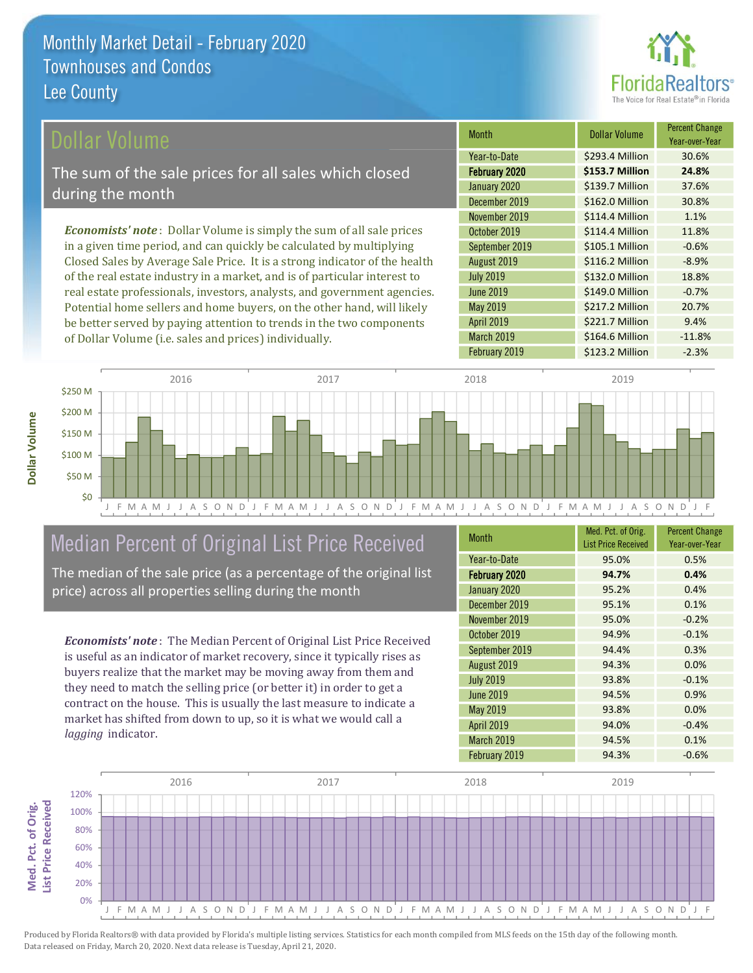

## ollar Volume

The sum of the sale prices for all sales which closed during the month

**Economists' note**: Dollar Volume is simply the sum of all sale prices in a given time period, and can quickly be calculated by multiplying Closed Sales by Average Sale Price. It is a strong indicator of the health of the real estate industry in a market, and is of particular interest to real estate professionals, investors, analysts, and government agencies. Potential home sellers and home buyers, on the other hand, will likely be better served by paying attention to trends in the two components of Dollar Volume (i.e. sales and prices) individually.

| <b>Month</b>      | <b>Dollar Volume</b> | <b>Percent Change</b><br>Year-over-Year |
|-------------------|----------------------|-----------------------------------------|
| Year-to-Date      | \$293.4 Million      | 30.6%                                   |
| February 2020     | \$153.7 Million      | 24.8%                                   |
| January 2020      | \$139.7 Million      | 37.6%                                   |
| December 2019     | \$162.0 Million      | 30.8%                                   |
| November 2019     | \$114.4 Million      | 1.1%                                    |
| October 2019      | \$114.4 Million      | 11.8%                                   |
| September 2019    | \$105.1 Million      | $-0.6%$                                 |
| August 2019       | \$116.2 Million      | $-8.9%$                                 |
| <b>July 2019</b>  | \$132.0 Million      | 18.8%                                   |
| <b>June 2019</b>  | \$149.0 Million      | $-0.7%$                                 |
| May 2019          | \$217.2 Million      | 20.7%                                   |
| <b>April 2019</b> | \$221.7 Million      | 9.4%                                    |
| March 2019        | \$164.6 Million      | $-11.8%$                                |
| February 2019     | \$123.2 Million      | $-2.3\%$                                |



# Median Percent of Original List Price Received

The median of the sale price (as a percentage of the original list price) across all properties selling during the month

**Economists' note:** The Median Percent of Original List Price Received is useful as an indicator of market recovery, since it typically rises as buyers realize that the market may be moving away from them and they need to match the selling price (or better it) in order to get a contract on the house. This is usually the last measure to indicate a market has shifted from down to up, so it is what we would call a lagging indicator.

| <b>Month</b>      | Med. Pct. of Orig.<br><b>List Price Received</b> | <b>Percent Change</b><br>Year-over-Year |
|-------------------|--------------------------------------------------|-----------------------------------------|
| Year-to-Date      | 95.0%                                            | 0.5%                                    |
| February 2020     | 94.7%                                            | 0.4%                                    |
| January 2020      | 95.2%                                            | 0.4%                                    |
| December 2019     | 95.1%                                            | 0.1%                                    |
| November 2019     | 95.0%                                            | $-0.2%$                                 |
| October 2019      | 94.9%                                            | $-0.1%$                                 |
| September 2019    | 94.4%                                            | 0.3%                                    |
| August 2019       | 94.3%                                            | 0.0%                                    |
| <b>July 2019</b>  | 93.8%                                            | $-0.1%$                                 |
| June 2019         | 94.5%                                            | 0.9%                                    |
| May 2019          | 93.8%                                            | 0.0%                                    |
| <b>April 2019</b> | 94.0%                                            | $-0.4%$                                 |
| <b>March 2019</b> | 94.5%                                            | 0.1%                                    |
| February 2019     | 94.3%                                            | $-0.6%$                                 |

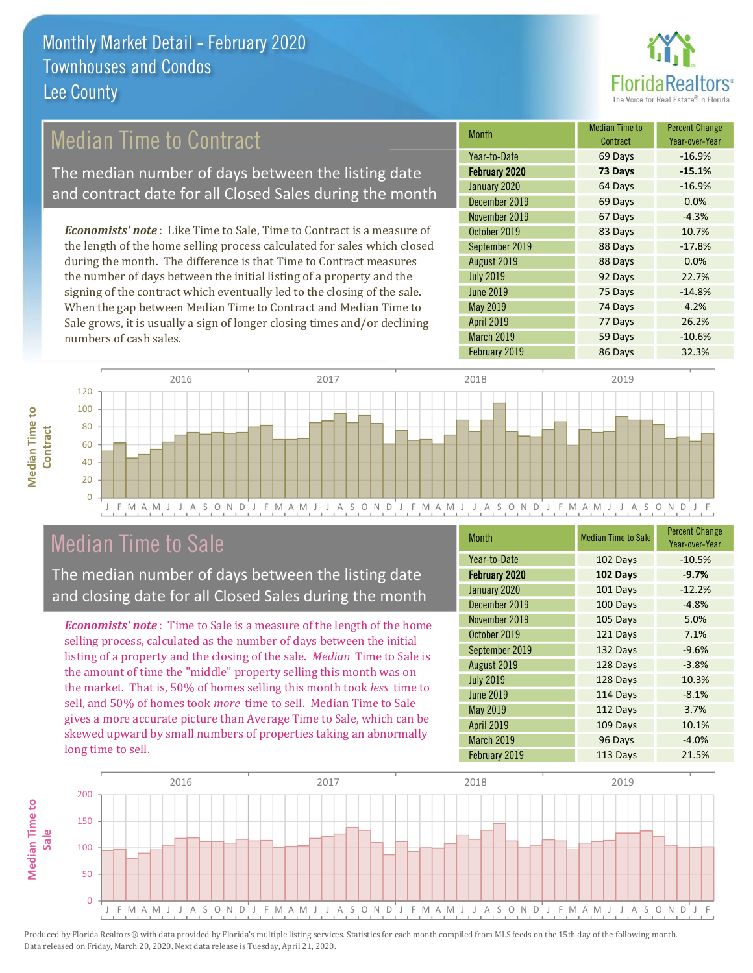

# **Median Time to Contract**

The median number of days between the listing date and contract date for all Closed Sales during the month

**Economists' note**: Like Time to Sale, Time to Contract is a measure of the length of the home selling process calculated for sales which closed during the month. The difference is that Time to Contract measures the number of days between the initial listing of a property and the signing of the contract which eventually led to the closing of the sale. When the gap between Median Time to Contract and Median Time to Sale grows, it is usually a sign of longer closing times and/or declining numbers of cash sales.

| Month            | Median Time to<br>Contract | <b>Percent Change</b><br>Year-over-Year |
|------------------|----------------------------|-----------------------------------------|
| Year-to-Date     | 69 Days                    | $-16.9%$                                |
| February 2020    | 73 Days                    | $-15.1%$                                |
| January 2020     | 64 Days                    | $-16.9%$                                |
| December 2019    | 69 Days                    | 0.0%                                    |
| November 2019    | 67 Days                    | $-4.3%$                                 |
| October 2019     | 83 Days                    | 10.7%                                   |
| September 2019   | 88 Days                    | $-17.8%$                                |
| August 2019      | 88 Days                    | 0.0%                                    |
| <b>July 2019</b> | 92 Days                    | 22.7%                                   |
| <b>June 2019</b> | 75 Days                    | $-14.8%$                                |
| May 2019         | 74 Days                    | 4.2%                                    |
| April 2019       | 77 Days                    | 26.2%                                   |
| March 2019       | 59 Days                    | $-10.6%$                                |
| February 2019    | 86 Days                    | 32.3%                                   |



# **Median Time to Sale**

**Median Time to** 

Contract

The median number of days between the listing date and closing date for all Closed Sales during the month

**Economists' note**: Time to Sale is a measure of the length of the home selling process, calculated as the number of days between the initial listing of a property and the closing of the sale. Median Time to Sale is the amount of time the "middle" property selling this month was on the market. That is, 50% of homes selling this month took less time to sell, and 50% of homes took *more* time to sell. Median Time to Sale gives a more accurate picture than Average Time to Sale, which can be skewed upward by small numbers of properties taking an abnormally long time to sell.

| <b>Month</b>         | <b>Median Time to Sale</b> | <b>Percent Change</b><br>Year-over-Year |
|----------------------|----------------------------|-----------------------------------------|
| Year-to-Date         | 102 Days                   | $-10.5%$                                |
| <b>February 2020</b> | 102 Days                   | $-9.7%$                                 |
| January 2020         | 101 Days                   | $-12.2%$                                |
| December 2019        | 100 Days                   | $-4.8%$                                 |
| November 2019        | 105 Days                   | 5.0%                                    |
| October 2019         | 121 Days                   | 7.1%                                    |
| September 2019       | 132 Days                   | $-9.6%$                                 |
| August 2019          | 128 Days                   | $-3.8%$                                 |
| <b>July 2019</b>     | 128 Days                   | 10.3%                                   |
| <b>June 2019</b>     | 114 Days                   | $-8.1%$                                 |
| May 2019             | 112 Days                   | 3.7%                                    |
| <b>April 2019</b>    | 109 Days                   | 10.1%                                   |
| March 2019           | 96 Days                    | $-4.0%$                                 |
| February 2019        | 113 Days                   | 21.5%                                   |

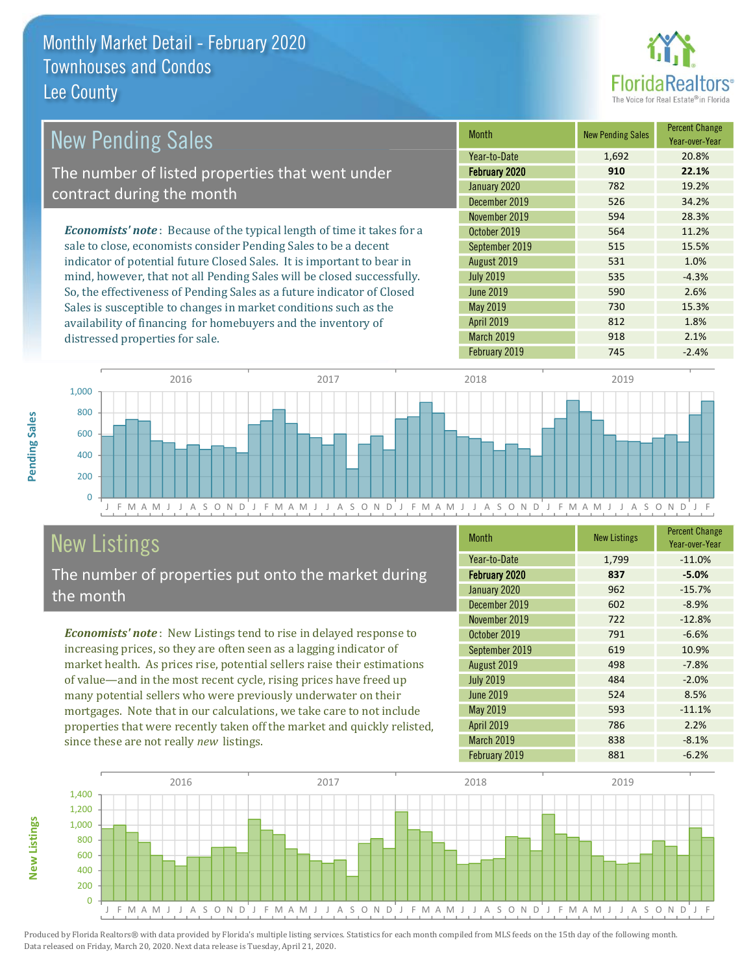

1.8%

2.1%

 $-2.4%$ 

| <b>New Pending Sales</b>                                                       | <b>Month</b>     | <b>New Pending Sales</b> | <b>Percent Change</b><br>Year-over-Year |
|--------------------------------------------------------------------------------|------------------|--------------------------|-----------------------------------------|
|                                                                                | Year-to-Date     | 1,692                    | 20.8%                                   |
| The number of listed properties that went under                                | February 2020    | 910                      | 22.1%                                   |
| contract during the month                                                      | January 2020     | 782                      | 19.2%                                   |
|                                                                                | December 2019    | 526                      | 34.2%                                   |
|                                                                                | November 2019    | 594                      | 28.3%                                   |
| <b>Economists' note</b> : Because of the typical length of time it takes for a | October 2019     | 564                      | 11.2%                                   |
| sale to close, economists consider Pending Sales to be a decent                | September 2019   | 515                      | 15.5%                                   |
| indicator of potential future Closed Sales. It is important to bear in         | August 2019      | 531                      | 1.0%                                    |
| mind, however, that not all Pending Sales will be closed successfully.         | <b>July 2019</b> | 535                      | $-4.3%$                                 |
| So, the effectiveness of Pending Sales as a future indicator of Closed         | <b>June 2019</b> | 590                      | 2.6%                                    |
| Sales is susceptible to changes in market conditions such as the               | May 2019         | 730                      | 15.3%                                   |

**April 2019** 

March 2019

February 2019



# **New Listings**

distressed properties for sale.

The number of properties put onto the market during the month

availability of financing for homebuyers and the inventory of

Economists' note: New Listings tend to rise in delayed response to increasing prices, so they are often seen as a lagging indicator of market health. As prices rise, potential sellers raise their estimations of value—and in the most recent cycle, rising prices have freed up many potential sellers who were previously underwater on their mortgages. Note that in our calculations, we take care to not include properties that were recently taken off the market and quickly relisted, since these are not really new listings.

| <b>Month</b>     | <b>New Listings</b> | <b>Percent Change</b><br>Year-over-Year |
|------------------|---------------------|-----------------------------------------|
| Year-to-Date     | 1,799               | $-11.0%$                                |
| February 2020    | 837                 | $-5.0%$                                 |
| January 2020     | 962                 | $-15.7%$                                |
| December 2019    | 602                 | $-8.9%$                                 |
| November 2019    | 722                 | $-12.8%$                                |
| October 2019     | 791                 | $-6.6%$                                 |
| September 2019   | 619                 | 10.9%                                   |
| August 2019      | 498                 | $-7.8%$                                 |
| <b>July 2019</b> | 484                 | $-2.0%$                                 |
| June 2019        | 524                 | 8.5%                                    |
| May 2019         | 593                 | $-11.1%$                                |
| April 2019       | 786                 | 2.2%                                    |
| March 2019       | 838                 | $-8.1%$                                 |
| February 2019    | 881                 | $-6.2%$                                 |

812

918

745

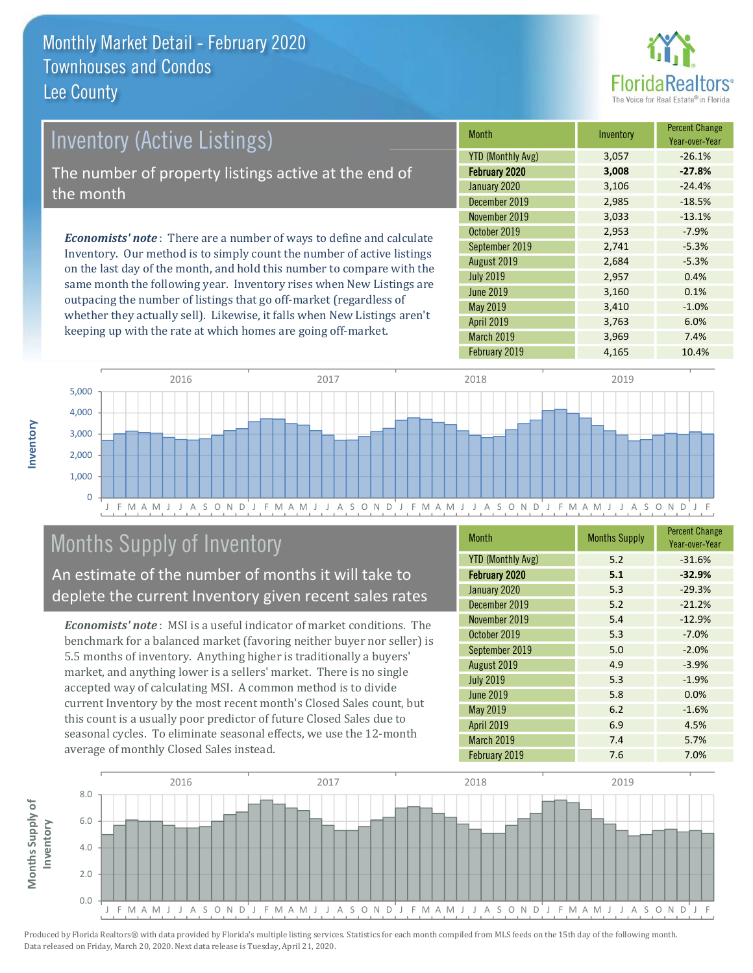

# **Inventory (Active Listings)**

The number of property listings active at the end of the month

**Economists' note:** There are a number of ways to define and calculate Inventory. Our method is to simply count the number of active listings on the last day of the month, and hold this number to compare with the same month the following year. Inventory rises when New Listings are outpacing the number of listings that go off-market (regardless of whether they actually sell). Likewise, it falls when New Listings aren't keeping up with the rate at which homes are going off-market.

| <b>Month</b>             | Inventory | <b>Percent Change</b><br>Year-over-Year |
|--------------------------|-----------|-----------------------------------------|
| <b>YTD (Monthly Avg)</b> | 3,057     | $-26.1%$                                |
| February 2020            | 3,008     | $-27.8%$                                |
| January 2020             | 3,106     | $-24.4%$                                |
| December 2019            | 2,985     | $-18.5%$                                |
| November 2019            | 3,033     | $-13.1%$                                |
| October 2019             | 2,953     | $-7.9%$                                 |
| September 2019           | 2,741     | $-5.3%$                                 |
| August 2019              | 2,684     | $-5.3%$                                 |
| <b>July 2019</b>         | 2,957     | 0.4%                                    |
| June 2019                | 3,160     | 0.1%                                    |
| May 2019                 | 3,410     | $-1.0%$                                 |
| <b>April 2019</b>        | 3,763     | 6.0%                                    |
| March 2019               | 3,969     | 7.4%                                    |
| February 2019            | 4,165     | 10.4%                                   |



# Months Supply of Inventory

An estimate of the number of months it will take to deplete the current Inventory given recent sales rates

**Economists' note**: MSI is a useful indicator of market conditions. The benchmark for a balanced market (favoring neither buyer nor seller) is 5.5 months of inventory. Anything higher is traditionally a buyers' market, and anything lower is a sellers' market. There is no single accepted way of calculating MSI. A common method is to divide current Inventory by the most recent month's Closed Sales count, but this count is a usually poor predictor of future Closed Sales due to seasonal cycles. To eliminate seasonal effects, we use the 12-month average of monthly Closed Sales instead.

| <b>Month</b>             | <b>Months Supply</b> | <b>Percent Change</b><br>Year-over-Year |
|--------------------------|----------------------|-----------------------------------------|
| <b>YTD (Monthly Avg)</b> | 5.2                  | $-31.6%$                                |
| <b>February 2020</b>     | 5.1                  | $-32.9%$                                |
| January 2020             | 5.3                  | $-29.3%$                                |
| December 2019            | 5.2                  | $-21.2%$                                |
| November 2019            | 5.4                  | $-12.9%$                                |
| October 2019             | 5.3                  | $-7.0%$                                 |
| September 2019           | 5.0                  | $-2.0%$                                 |
| August 2019              | 4.9                  | $-3.9%$                                 |
| <b>July 2019</b>         | 5.3                  | $-1.9%$                                 |
| <b>June 2019</b>         | 5.8                  | 0.0%                                    |
| May 2019                 | 6.2                  | $-1.6%$                                 |
| April 2019               | 6.9                  | 4.5%                                    |
| March 2019               | 7.4                  | 5.7%                                    |
| February 2019            | 7.6                  | 7.0%                                    |

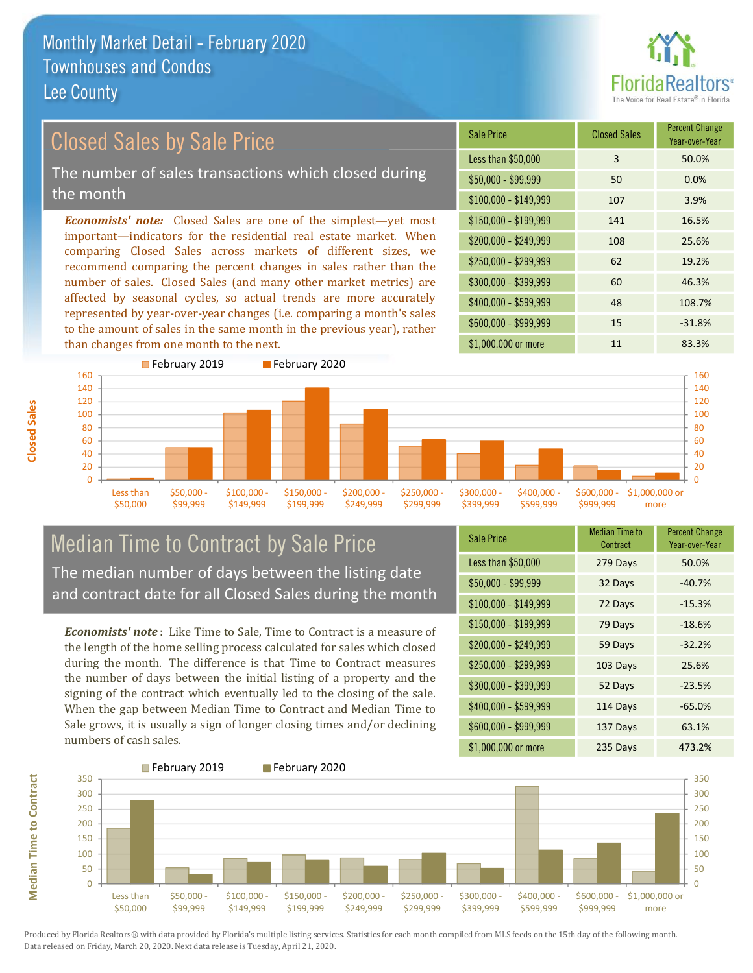

#### **Closed Sales by Sale Price** The number of sales transactions which closed during the month **Economists' note:** Closed Sales are one of the simplest—yet most important-indicators for the residential real estate market. When comparing Closed Sales across markets of different sizes, we recommend comparing the percent changes in sales rather than the

number of sales. Closed Sales (and many other market metrics) are affected by seasonal cycles, so actual trends are more accurately represented by year-over-year changes (i.e. comparing a month's sales to the amount of sales in the same month in the previous year), rather than changes from one month to the next.

| <b>Sale Price</b>     | <b>Closed Sales</b> | <b>Percent Change</b><br>Year-over-Year |
|-----------------------|---------------------|-----------------------------------------|
| Less than \$50,000    | 3                   | 50.0%                                   |
| $$50,000 - $99,999$   | 50                  | 0.0%                                    |
| $$100,000 - $149,999$ | 107                 | 3.9%                                    |
| $$150,000 - $199,999$ | 141                 | 16.5%                                   |
| \$200,000 - \$249,999 | 108                 | 25.6%                                   |
| \$250,000 - \$299,999 | 62                  | 19.2%                                   |
| \$300,000 - \$399,999 | 60                  | 46.3%                                   |
| \$400,000 - \$599,999 | 48                  | 108.7%                                  |
| \$600,000 - \$999,999 | 15                  | $-31.8%$                                |
| \$1,000,000 or more   | 11                  | 83.3%                                   |



### **Median Time to Contract by Sale Price** The median number of days between the listing date and contract date for all Closed Sales during the month

**Economists' note**: Like Time to Sale. Time to Contract is a measure of the length of the home selling process calculated for sales which closed during the month. The difference is that Time to Contract measures the number of days between the initial listing of a property and the signing of the contract which eventually led to the closing of the sale. When the gap between Median Time to Contract and Median Time to Sale grows, it is usually a sign of longer closing times and/or declining numbers of cash sales.

| <b>Sale Price</b>     | <b>Median Time to</b><br>Contract | <b>Percent Change</b><br>Year-over-Year |
|-----------------------|-----------------------------------|-----------------------------------------|
| Less than \$50,000    | 279 Days                          | 50.0%                                   |
| $$50,000 - $99,999$   | 32 Days                           | $-40.7%$                                |
| $$100,000 - $149,999$ | 72 Days                           | $-15.3%$                                |
| \$150,000 - \$199,999 | 79 Days                           | $-18.6%$                                |
| \$200,000 - \$249,999 | 59 Days                           | $-32.2%$                                |
| \$250,000 - \$299,999 | 103 Days                          | 25.6%                                   |
| \$300,000 - \$399,999 | 52 Days                           | $-23.5%$                                |
| \$400,000 - \$599,999 | 114 Days                          | $-65.0%$                                |
| \$600,000 - \$999,999 | 137 Days                          | 63.1%                                   |
| $$1.000.000$ or more  | 235 Dave                          | $173.2\%$                               |



Produced by Florida Realtors® with data provided by Florida's multiple listing services. Statistics for each month compiled from MLS feeds on the 15th day of the following month. Data released on Friday, March 20, 2020. Next data release is Tuesday, April 21, 2020.

**Median Time to Contract**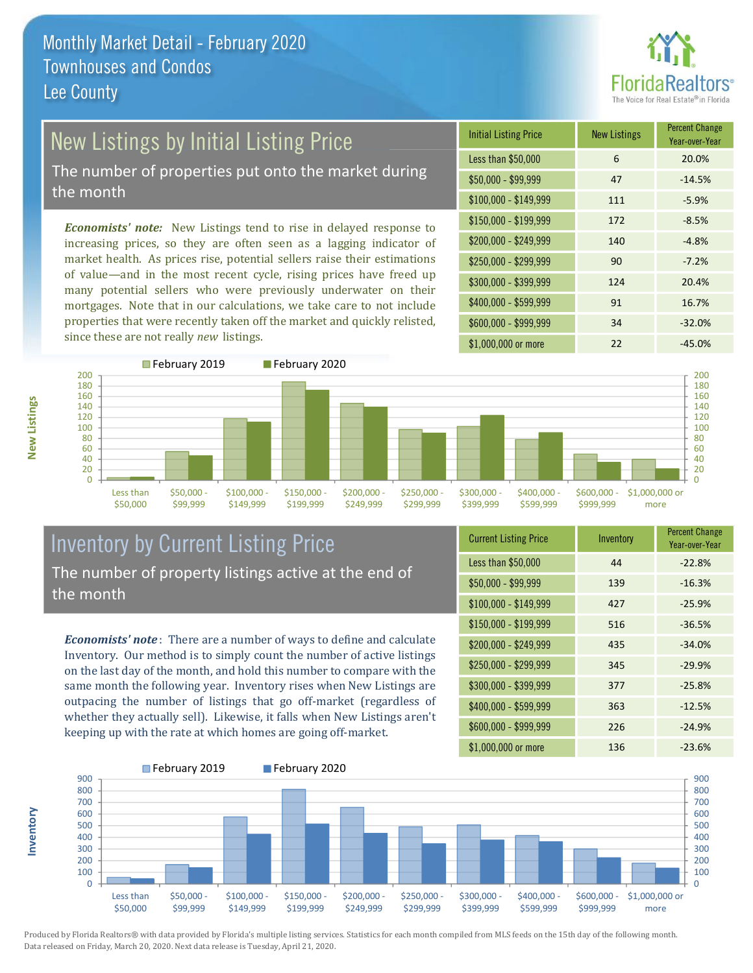

# New Listings by Initial Listing Price

The number of properties put onto the market during the month

Economists' note: New Listings tend to rise in delayed response to increasing prices, so they are often seen as a lagging indicator of market health. As prices rise, potential sellers raise their estimations of value—and in the most recent cycle, rising prices have freed up many potential sellers who were previously underwater on their mortgages. Note that in our calculations, we take care to not include properties that were recently taken off the market and quickly relisted, since these are not really new listings.

| <b>Initial Listing Price</b> | <b>New Listings</b> | <b>Percent Change</b><br>Year-over-Year |
|------------------------------|---------------------|-----------------------------------------|
| Less than \$50,000           | 6                   | 20.0%                                   |
| $$50,000 - $99,999$          | 47                  | $-14.5%$                                |
| $$100,000 - $149,999$        | 111                 | $-5.9%$                                 |
| $$150,000 - $199,999$        | 172                 | $-8.5%$                                 |
| \$200,000 - \$249,999        | 140                 | $-4.8%$                                 |
| \$250,000 - \$299,999        | 90                  | $-7.2%$                                 |
| \$300,000 - \$399,999        | 124                 | 20.4%                                   |
| \$400,000 - \$599,999        | 91                  | 16.7%                                   |
| \$600,000 - \$999,999        | 34                  | $-32.0%$                                |
| $$1.000.000$ or more         | 22                  | $-45.0%$                                |



#### **Inventory by Current Listing Price** The number of property listings active at the end of the month

**Economists' note**: There are a number of ways to define and calculate Inventory. Our method is to simply count the number of active listings on the last day of the month, and hold this number to compare with the same month the following year. Inventory rises when New Listings are outpacing the number of listings that go off-market (regardless of whether they actually sell). Likewise, it falls when New Listings aren't keeping up with the rate at which homes are going off-market.

| <b>Current Listing Price</b> | Inventory | <b>Percent Gridlige</b><br>Year-over-Year |
|------------------------------|-----------|-------------------------------------------|
| Less than \$50,000           | 44        | $-22.8%$                                  |
| $$50,000 - $99,999$          | 139       | $-16.3%$                                  |
| $$100,000 - $149,999$        | 427       | $-25.9%$                                  |
| $$150,000 - $199,999$        | 516       | $-36.5%$                                  |
| \$200,000 - \$249,999        | 435       | $-34.0%$                                  |
| \$250,000 - \$299,999        | 345       | $-29.9%$                                  |
| \$300,000 - \$399,999        | 377       | $-25.8%$                                  |
| \$400,000 - \$599,999        | 363       | $-12.5%$                                  |
| \$600,000 - \$999,999        | 226       | $-24.9%$                                  |
| $$1.000.000$ or more         | 136       | $-23.6%$                                  |



Produced by Florida Realtors® with data provided by Florida's multiple listing services. Statistics for each month compiled from MLS feeds on the 15th day of the following month. Data released on Friday, March 20, 2020. Next data release is Tuesday, April 21, 2020.

nventory